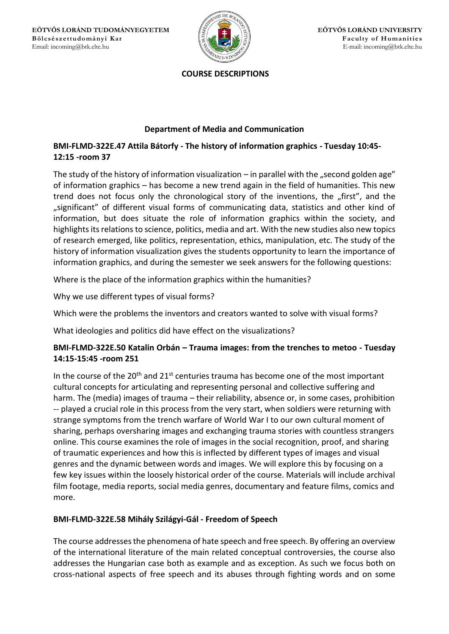

#### **COURSE DESCRIPTIONS**

## **Department of Media and Communication**

# **BMI-FLMD-322E.47 Attila Bátorfy - The history of information graphics - Tuesday 10:45- 12:15 -room 37**

The study of the history of information visualization – in parallel with the "second golden age" of information graphics – has become a new trend again in the field of humanities. This new trend does not focus only the chronological story of the inventions, the "first", and the "significant" of different visual forms of communicating data, statistics and other kind of information, but does situate the role of information graphics within the society, and highlights its relations to science, politics, media and art. With the new studies also new topics of research emerged, like politics, representation, ethics, manipulation, etc. The study of the history of information visualization gives the students opportunity to learn the importance of information graphics, and during the semester we seek answers for the following questions:

Where is the place of the information graphics within the humanities?

Why we use different types of visual forms?

Which were the problems the inventors and creators wanted to solve with visual forms?

What ideologies and politics did have effect on the visualizations?

# **BMI-FLMD-322E.50 Katalin Orbán – Trauma images: from the trenches to metoo - Tuesday 14:15-15:45 -room 251**

In the course of the  $20<sup>th</sup>$  and  $21<sup>st</sup>$  centuries trauma has become one of the most important cultural concepts for articulating and representing personal and collective suffering and harm. The (media) images of trauma – their reliability, absence or, in some cases, prohibition -- played a crucial role in this process from the very start, when soldiers were returning with strange symptoms from the trench warfare of World War I to our own cultural moment of sharing, perhaps oversharing images and exchanging trauma stories with countless strangers online. This course examines the role of images in the social recognition, proof, and sharing of traumatic experiences and how this is inflected by different types of images and visual genres and the dynamic between words and images. We will explore this by focusing on a few key issues within the loosely historical order of the course. Materials will include archival film footage, media reports, social media genres, documentary and feature films, comics and more.

### **BMI-FLMD-322E.58 Mihály Szilágyi-Gál - Freedom of Speech**

The course addresses the phenomena of hate speech and free speech. By offering an overview of the international literature of the main related conceptual controversies, the course also addresses the Hungarian case both as example and as exception. As such we focus both on cross-national aspects of free speech and its abuses through fighting words and on some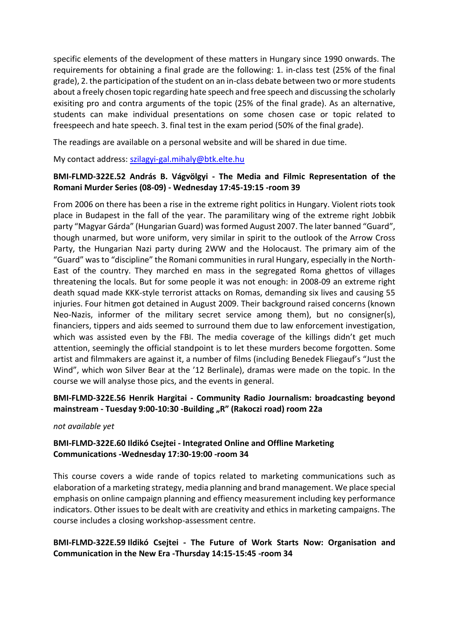specific elements of the development of these matters in Hungary since 1990 onwards. The requirements for obtaining a final grade are the following: 1. in-class test (25% of the final grade), 2. the participation of the student on an in-class debate between two or more students about a freely chosen topic regarding hate speech and free speech and discussing the scholarly exisiting pro and contra arguments of the topic (25% of the final grade). As an alternative, students can make individual presentations on some chosen case or topic related to freespeech and hate speech. 3. final test in the exam period (50% of the final grade).

The readings are available on a personal website and will be shared in due time.

My contact address: [szilagyi-gal.mihaly@btk.elte.hu](mailto:szilagyi-gal.mihaly@btk.elte.hu)

### **BMI-FLMD-322E.52 András B. Vágvölgyi - The Media and Filmic Representation of the Romani Murder Series (08-09) - Wednesday 17:45-19:15 -room 39**

From 2006 on there has been a rise in the extreme right politics in Hungary. Violent riots took place in Budapest in the fall of the year. The paramilitary wing of the extreme right Jobbik party "Magyar Gárda" (Hungarian Guard) was formed August 2007. The later banned "Guard", though unarmed, but wore uniform, very similar in spirit to the outlook of the Arrow Cross Party, the Hungarian Nazi party during 2WW and the Holocaust. The primary aim of the "Guard" was to "discipline" the Romani communities in rural Hungary, especially in the North-East of the country. They marched en mass in the segregated Roma ghettos of villages threatening the locals. But for some people it was not enough: in 2008-09 an extreme right death squad made KKK-style terrorist attacks on Romas, demanding six lives and causing 55 injuries. Four hitmen got detained in August 2009. Their background raised concerns (known Neo-Nazis, informer of the military secret service among them), but no consigner(s), financiers, tippers and aids seemed to surround them due to law enforcement investigation, which was assisted even by the FBI. The media coverage of the killings didn't get much attention, seemingly the official standpoint is to let these murders become forgotten. Some artist and filmmakers are against it, a number of films (including Benedek Fliegauf's "Just the Wind", which won Silver Bear at the '12 Berlinale), dramas were made on the topic. In the course we will analyse those pics, and the events in general.

### **BMI-FLMD-322E.56 Henrik Hargitai - Community Radio Journalism: broadcasting beyond mainstream - Tuesday 9:00-10:30 -Building "R" (Rakoczi road) room 22a**

#### *not available yet*

### **BMI-FLMD-322E.60 Ildikó Csejtei - Integrated Online and Offline Marketing Communications -Wednesday 17:30-19:00 -room 34**

This course covers a wide rande of topics related to marketing communications such as elaboration of a marketing strategy, media planning and brand management. We place special emphasis on online campaign planning and effiency measurement including key performance indicators. Other issues to be dealt with are creativity and ethics in marketing campaigns. The course includes a closing workshop-assessment centre.

### **BMI-FLMD-322E.59 Ildikó Csejtei - The Future of Work Starts Now: Organisation and Communication in the New Era -Thursday 14:15-15:45 -room 34**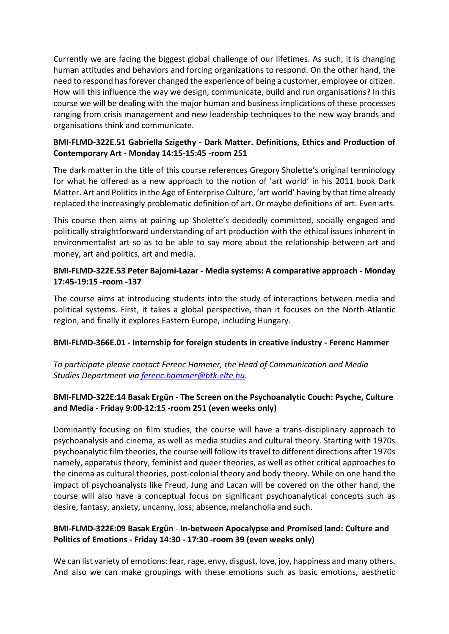Currently we are facing the biggest global challenge of our lifetimes. As such, it is changing human attitudes and behaviors and forcing organizations to respond. On the other hand, the need to respond has forever changed the experience of being a customer, employee or citizen. How will this influence the way we design, communicate, build and run organisations? In this course we will be dealing with the major human and business implications of these processes ranging from crisis management and new leadership techniques to the new way brands and organisations think and communicate.

# **BMI-FLMD-322E.51 Gabriella Szigethy - Dark Matter. Definitions, Ethics and Production of Contemporary Art - Monday 14:15-15:45 -room 251**

The dark matter in the title of this course references Gregory Sholette's original terminology for what he offered as a new approach to the notion of 'art world' in his 2011 book Dark Matter. Art and Politics in the Age of Enterprise Culture, 'art world' having by that time already replaced the increasingly problematic definition of art. Or maybe definitions of art. Even arts.

This course then aims at pairing up Sholette's decidedly committed, socially engaged and politically straightforward understanding of art production with the ethical issues inherent in environmentalist art so as to be able to say more about the relationship between art and money, art and politics, art and media.

### **BMI-FLMD-322E.53 Peter Bajomi-Lazar - Media systems: A comparative approach - Monday 17:45-19:15 -room -137**

The course aims at introducing students into the study of interactions between media and political systems. First, it takes a global perspective, than it focuses on the North-Atlantic region, and finally it explores Eastern Europe, including Hungary.

### **BMI-FLMD-366E.01 - Internship for foreign students in creative industry - Ferenc Hammer**

*To participate please contact Ferenc Hammer, the Head of Communication and Media Studies Department via [ferenc.hammer@btk.elte.hu.](mailto:ferenc.hammer@btk.elte.hu)* 

# **BMI-FLMD-322E:14 Basak Ergün** - **The Screen on the Psychoanalytic Couch: Psyche, Culture and Media - Friday 9:00-12:15 -room 251 (even weeks only)**

Dominantly focusing on film studies, the course will have a trans-disciplinary approach to psychoanalysis and cinema, as well as media studies and cultural theory. Starting with 1970s psychoanalytic film theories, the course will follow its travel to different directions after 1970s namely, apparatus theory, feminist and queer theories, as well as other critical approaches to the cinema as cultural theories, post-colonial theory and body theory. While on one hand the impact of psychoanalysts like Freud, Jung and Lacan will be covered on the other hand, the course will also have a conceptual focus on significant psychoanalytical concepts such as desire, fantasy, anxiety, uncanny, loss, absence, melancholia and such.

### **BMI-FLMD-322E:09 Basak Ergün** - **In-between Apocalypse and Promised land: Culture and Politics of Emotions - Friday 14:30 - 17:30 -room 39 (even weeks only)**

We can list variety of emotions: fear, rage, envy, disgust, love, joy, happiness and many others. And also we can make groupings with these emotions such as basic emotions, aesthetic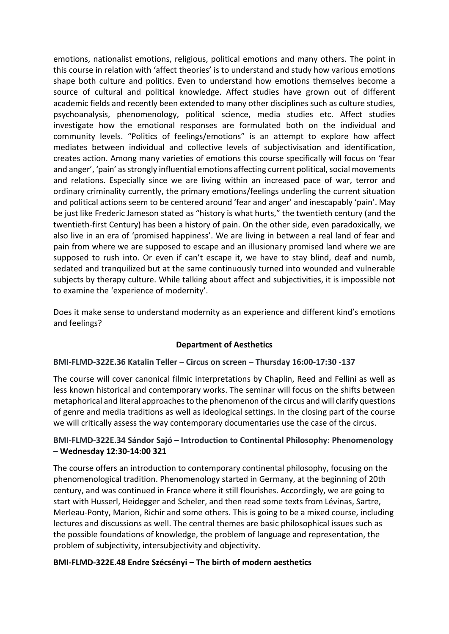emotions, nationalist emotions, religious, political emotions and many others. The point in this course in relation with 'affect theories' is to understand and study how various emotions shape both culture and politics. Even to understand how emotions themselves become a source of cultural and political knowledge. Affect studies have grown out of different academic fields and recently been extended to many other disciplines such as culture studies, psychoanalysis, phenomenology, political science, media studies etc. Affect studies investigate how the emotional responses are formulated both on the individual and community levels. "Politics of feelings/emotions" is an attempt to explore how affect mediates between individual and collective levels of subjectivisation and identification, creates action. Among many varieties of emotions this course specifically will focus on 'fear and anger', 'pain' as strongly influential emotions affecting current political, social movements and relations. Especially since we are living within an increased pace of war, terror and ordinary criminality currently, the primary emotions/feelings underling the current situation and political actions seem to be centered around 'fear and anger' and inescapably 'pain'. May be just like Frederic Jameson stated as "history is what hurts," the twentieth century (and the twentieth-first Century) has been a history of pain. On the other side, even paradoxically, we also live in an era of 'promised happiness'. We are living in between a real land of fear and pain from where we are supposed to escape and an illusionary promised land where we are supposed to rush into. Or even if can't escape it, we have to stay blind, deaf and numb, sedated and tranquilized but at the same continuously turned into wounded and vulnerable subjects by therapy culture. While talking about affect and subjectivities, it is impossible not to examine the 'experience of modernity'.

Does it make sense to understand modernity as an experience and different kind's emotions and feelings?

### **Department of Aesthetics**

#### **BMI-FLMD-322E.36 Katalin Teller – Circus on screen – Thursday 16:00-17:30 -137**

The course will cover canonical filmic interpretations by Chaplin, Reed and Fellini as well as less known historical and contemporary works. The seminar will focus on the shifts between metaphorical and literal approaches to the phenomenon of the circus and will clarify questions of genre and media traditions as well as ideological settings. In the closing part of the course we will critically assess the way contemporary documentaries use the case of the circus.

### **BMI-FLMD-322E.34 Sándor Sajó – Introduction to Continental Philosophy: Phenomenology – Wednesday 12:30-14:00 321**

The course offers an introduction to contemporary continental philosophy, focusing on the phenomenological tradition. Phenomenology started in Germany, at the beginning of 20th century, and was continued in France where it still flourishes. Accordingly, we are going to start with Husserl, Heidegger and Scheler, and then read some texts from Lévinas, Sartre, Merleau-Ponty, Marion, Richir and some others. This is going to be a mixed course, including lectures and discussions as well. The central themes are basic philosophical issues such as the possible foundations of knowledge, the problem of language and representation, the problem of subjectivity, intersubjectivity and objectivity.

#### **BMI-FLMD-322E.48 Endre Szécsényi – The birth of modern aesthetics**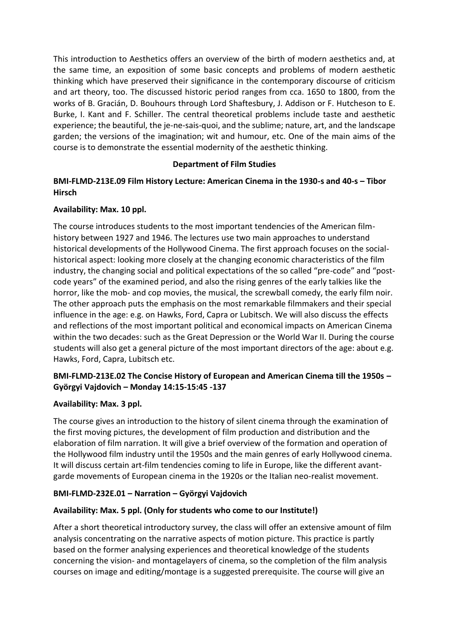This introduction to Aesthetics offers an overview of the birth of modern aesthetics and, at the same time, an exposition of some basic concepts and problems of modern aesthetic thinking which have preserved their significance in the contemporary discourse of criticism and art theory, too. The discussed historic period ranges from cca. 1650 to 1800, from the works of B. Gracián, D. Bouhours through Lord Shaftesbury, J. Addison or F. Hutcheson to E. Burke, I. Kant and F. Schiller. The central theoretical problems include taste and aesthetic experience; the beautiful, the je-ne-sais-quoi, and the sublime; nature, art, and the landscape garden; the versions of the imagination; wit and humour, etc. One of the main aims of the course is to demonstrate the essential modernity of the aesthetic thinking.

### **Department of Film Studies**

# **BMI-FLMD-213E.09 Film History Lecture: American Cinema in the 1930-s and 40-s – Tibor Hirsch**

### **Availability: Max. 10 ppl.**

The course introduces students to the most important tendencies of the American filmhistory between 1927 and 1946. The lectures use two main approaches to understand historical developments of the Hollywood Cinema. The first approach focuses on the socialhistorical aspect: looking more closely at the changing economic characteristics of the film industry, the changing social and political expectations of the so called "pre-code" and "postcode years" of the examined period, and also the rising genres of the early talkies like the horror, like the mob- and cop movies, the musical, the screwball comedy, the early film noir. The other approach puts the emphasis on the most remarkable filmmakers and their special influence in the age: e.g. on Hawks, Ford, Capra or Lubitsch. We will also discuss the effects and reflections of the most important political and economical impacts on American Cinema within the two decades: such as the Great Depression or the World War II. During the course students will also get a general picture of the most important directors of the age: about e.g. Hawks, Ford, Capra, Lubitsch etc.

# **BMI-FLMD-213E.02 The Concise History of European and American Cinema till the 1950s – Györgyi Vajdovich – Monday 14:15-15:45 -137**

### **Availability: Max. 3 ppl.**

The course gives an introduction to the history of silent cinema through the examination of the first moving pictures, the development of film production and distribution and the elaboration of film narration. It will give a brief overview of the formation and operation of the Hollywood film industry until the 1950s and the main genres of early Hollywood cinema. It will discuss certain art-film tendencies coming to life in Europe, like the different avantgarde movements of European cinema in the 1920s or the Italian neo-realist movement.

### **BMI-FLMD-232E.01 – Narration – Györgyi Vajdovich**

### **Availability: Max. 5 ppl. (Only for students who come to our Institute!)**

After a short theoretical introductory survey, the class will offer an extensive amount of film analysis concentrating on the narrative aspects of motion picture. This practice is partly based on the former analysing experiences and theoretical knowledge of the students concerning the vision- and montagelayers of cinema, so the completion of the film analysis courses on image and editing/montage is a suggested prerequisite. The course will give an